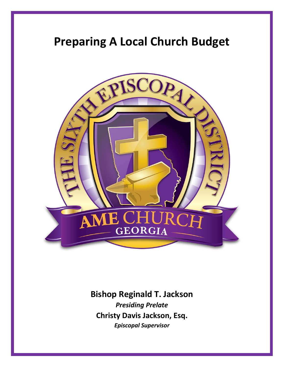# **Preparing A Local Church Budget**



**Bishop Reginald T. Jackson** *Presiding Prelate* **Christy Davis Jackson, Esq.** *Episcopal Supervisor*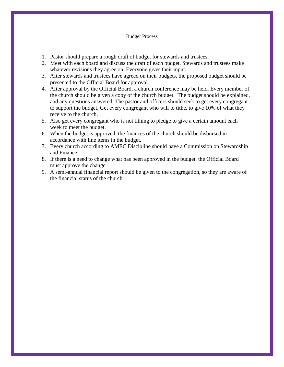#### Budget Process

- 1. Pastor should prepare a rough draft of budget for stewards and trustees.
- 2. Meet with each board and discuss the draft of each budget. Stewards and trustees make whatever revisions they agree on. Everyone gives their input.
- 3. After stewards and trustees have agreed on their budgets, the proposed budget should be presented to the Official Board for approval.
- 4. After approval by the Official Board, a church conference may be held. Every member of the church should be given a copy of the church budget. The budget should be explained, and any questions answered. The pastor and officers should seek to get every congregant to support the budget. Get every congregant who will to tithe, to give 10% of what they receive to the church.
- 5. Also get every congregant who is not tithing to pledge to give a certain amount each week to meet the budget.
- 6. When the budget is approved, the finances of the church should be disbursed in accordance with line items in the budget.
- 7. Every church according to AMEC Discipline should have a Commission on Stewardship and Finance
- 8. If there is a need to change what has been approved in the budget, the Official Board must approve the change.
- 9. A semi-annual financial report should be given to the congregation, so they are aware of the financial status of the church.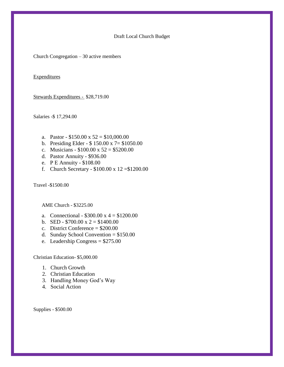#### Draft Local Church Budget

Church Congregation – 30 active members

**Expenditures** 

Stewards Expenditures - \$28,719.00

Salaries -\$ 17,294.00

- a. Pastor  $$150.00 \times 52 = $10,000.00$
- b. Presiding Elder \$ 150.00 x 7= \$1050.00
- c. Musicians  $$100.00 \times 52 = $5200.00$
- d. Pastor Annuity \$936.00
- e. P E Annuity \$108.00
- f. Church Secretary \$100.00 x 12 =\$1200.00

Travel -\$1500.00

AME Church - \$3225.00

- a. Connectional  $$300.00 \text{ x } 4 = $1200.00$
- b. SED  $$700.00 \text{ x } 2 = $1400.00$
- c. District Conference = \$200.00
- d. Sunday School Convention = \$150.00
- e. Leadership Congress = \$275.00

Christian Education- \$5,000.00

- 1. Church Growth
- 2. Christian Education
- 3. Handling Money God's Way
- 4. Social Action

Supplies - \$500.00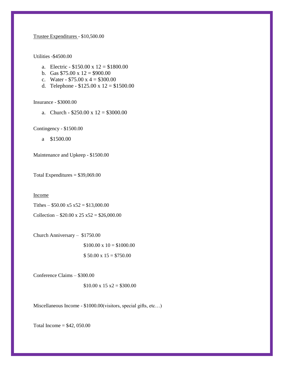Trustee Expenditures - \$10,500.00

Utilities -\$4500.00

- a. Electric  $$150.00 \times 12 = $1800.00$
- b. Gas  $$75.00 \times 12 = $900.00$
- c. Water  $$75.00 \text{ x } 4 = $300.00$
- d. Telephone  $$125.00 \times 12 = $1500.00$

Insurance - \$3000.00

a. Church -  $$250.00 \times 12 = $3000.00$ 

Contingency - \$1500.00

a \$1500.00

Maintenance and Upkeep - \$1500.00

Total Expenditures  $= $39,069.00$ 

Income

Tithes –  $$50.00 \times 5 \times 52 = $13,000.00$ 

Collection –  $$20.00 \times 25 \times 52 = $26,000.00$ 

Church Anniversary – \$1750.00

 $$100.00 \times 10 = $1000.00$  $$50.00 \times 15 = $750.00$ 

Conference Claims – \$300.00

 $$10.00 \times 15 \times 2 = $300.00$ 

Miscellaneous Income - \$1000.00(visitors, special gifts, etc…)

Total Income =  $$42,050.00$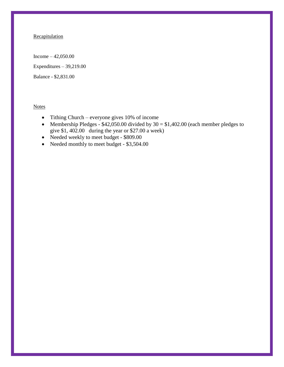# **Recapitulation**

Income – 42,050.00 Expenditures – 39,219.00 Balance - \$2,831.00

**Notes** 

- Tithing Church everyone gives 10% of income
- Membership Pledges \$42,050.00 divided by  $30 = $1,402.00$  (each member pledges to give \$1, 402.00 during the year or \$27.00 a week)
- Needed weekly to meet budget \$809.00
- Needed monthly to meet budget \$3,504.00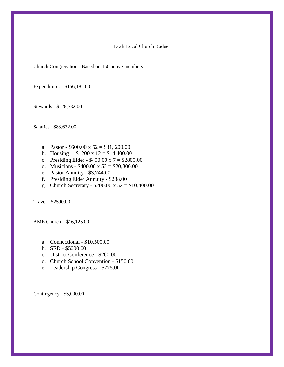Draft Local Church Budget

Church Congregation - Based on 150 active members

Expenditures - \$156,182.00

Stewards - \$128,382.00

Salaries –\$83,632.00

- a. Pastor  $$600.00 \times 52 = $31,200.00$
- b. Housing  $$1200 \times 12 = $14,400.00$
- c. Presiding Elder  $$400.00 \times 7 = $2800.00$
- d. Musicians  $$400.00 \times 52 = $20,800.00$
- e. Pastor Annuity \$3,744.00
- f. Presiding Elder Annuity \$288.00
- g. Church Secretary \$200.00 x 52 = \$10,400.00

Travel - \$2500.00

AME Church – \$16,125.00

- a. Connectional \$10,500.00
- b. SED \$5000.00
- c. District Conference \$200.00
- d. Church School Convention \$150.00
- e. Leadership Congress \$275.00

Contingency - \$5,000.00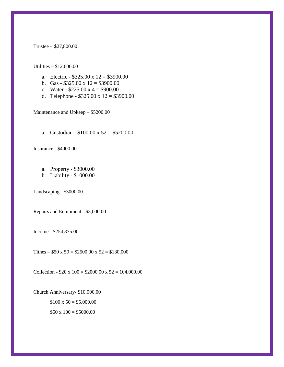#### Trustee - \$27,800.00

### Utilities – \$12,600.00

- a. Electric  $$325.00 \times 12 = $3900.00$
- b. Gas  $$325.00 \times 12 = $3900.00$
- c. Water  $$225.00 \text{ x } 4 = $900.00$
- d. Telephone \$325.00 x 12 = \$3900.00

Maintenance and Upkeep – \$5200.00

a. Custodian -  $$100.00 \times 52 = $5200.00$ 

Insurance - \$4000.00

- a. Property \$3000.00
- b. Liability \$1000.00

Landscaping - \$3000.00

Repairs and Equipment - \$3,000.00

Income - \$254,875.00

Tithes –  $$50 \times 50 = $2500.00 \times 52 = $130,000$ 

Collection -  $$20 \times 100 = $2000.00 \times 52 = 104,000.00$ 

Church Anniversary- \$10,000.00  $$100 \times 50 = $5,000.00$ 

 $$50 x 100 = $5000.00$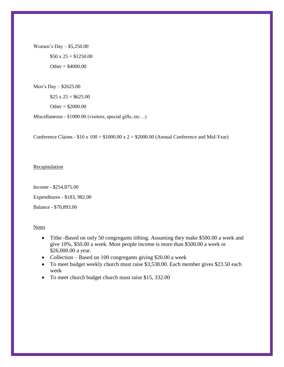Women's Day – \$5,250.00  $$50 \times 25 = $1250.00$ Other =  $$4000.00$ 

Men's Day – \$2625.00

 $$25 \times 25 = $625.00$ 

Other =  $$2000.00$ 

Miscellaneous - \$1000.00 (visitors, special gifts, etc…)

Conference Claims -  $$10 x 100 = $1000.00 x 2 = $2000.00$  (Annual Conference and Mid-Year)

## **Recapitulation**

Income - \$254,875.00 Expenditures - \$183, 982.00 Balance - \$70,893.00

Notes

- Tithe -Based on only 50 congregants tithing. Assuming they make \$500.00 a week and give 10%, \$50.00 a week. Most people income is more than \$500.00 a week or \$26,000.00 a year.
- Collection Based on 100 congregants giving \$20.00 a week
- To meet budget weekly church must raise \$3,538.00. Each member gives \$23.50 each week
- To meet church budget church must raise \$15, 332.00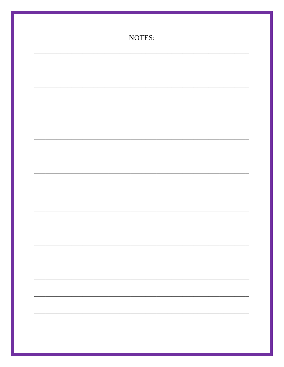| NOTES: |  |
|--------|--|
|        |  |
|        |  |
|        |  |
|        |  |
|        |  |
|        |  |
|        |  |
|        |  |
|        |  |
|        |  |